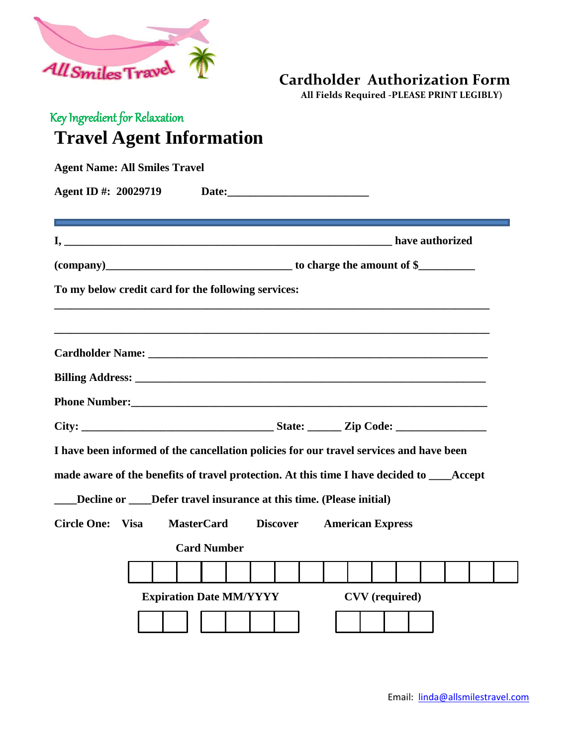

## **Cardholder Authorization Form**

 **All Fields Required -PLEASE PRINT LEGIBLY)**

## Key Ingredient for Relaxation **Travel Agent Information**

| <b>Agent Name: All Smiles Travel</b>                                                       |                                |                 |                         |                       |                 |  |  |  |
|--------------------------------------------------------------------------------------------|--------------------------------|-----------------|-------------------------|-----------------------|-----------------|--|--|--|
| Agent ID #: 20029719                                                                       |                                |                 |                         |                       |                 |  |  |  |
|                                                                                            |                                |                 |                         |                       | have authorized |  |  |  |
|                                                                                            |                                |                 |                         |                       |                 |  |  |  |
| To my below credit card for the following services:                                        |                                |                 |                         |                       |                 |  |  |  |
|                                                                                            |                                |                 |                         |                       |                 |  |  |  |
|                                                                                            |                                |                 |                         |                       |                 |  |  |  |
|                                                                                            |                                |                 |                         |                       |                 |  |  |  |
|                                                                                            |                                |                 |                         |                       |                 |  |  |  |
|                                                                                            |                                |                 |                         |                       |                 |  |  |  |
| I have been informed of the cancellation policies for our travel services and have been    |                                |                 |                         |                       |                 |  |  |  |
| made aware of the benefits of travel protection. At this time I have decided to ____Accept |                                |                 |                         |                       |                 |  |  |  |
| Decline or Defer travel insurance at this time. (Please initial)                           |                                |                 |                         |                       |                 |  |  |  |
| Circle One: Visa                                                                           | <b>MasterCard</b>              | <b>Discover</b> | <b>American Express</b> |                       |                 |  |  |  |
|                                                                                            | <b>Card Number</b>             |                 |                         |                       |                 |  |  |  |
|                                                                                            |                                |                 |                         |                       |                 |  |  |  |
|                                                                                            | <b>Expiration Date MM/YYYY</b> |                 |                         | <b>CVV</b> (required) |                 |  |  |  |
|                                                                                            |                                |                 |                         |                       |                 |  |  |  |